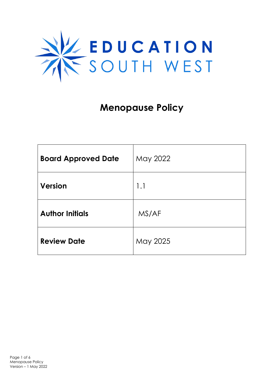

# **Menopause Policy**

| <b>Board Approved Date</b> | May 2022 |
|----------------------------|----------|
| <b>Version</b>             | 1.1      |
| <b>Author Initials</b>     | MS/AF    |
| <b>Review Date</b>         | May 2025 |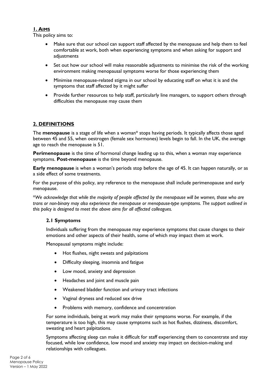## **1. AIMS**

This policy aims to:

- Make sure that our school can support staff affected by the menopause and help them to feel comfortable at work, both when experiencing symptoms and when asking for support and adiustments
- Set out how our school will make reasonable adjustments to minimise the risk of the working environment making menopausal symptoms worse for those experiencing them
- Minimise menopause-related stigma in our school by educating staff on what it is and the symptoms that staff affected by it might suffer
- Provide further resources to help staff, particularly line managers, to support others through difficulties the menopause may cause them

## **2. DEFINITIONS**

The **menopause** is a stage of life when a woman\* stops having periods. It typically affects those aged between 45 and 55, when oestrogen (female sex hormones) levels begin to fall. In the UK, the average age to reach the menopause is 51.

**Perimenopause** is the time of hormonal change leading up to this, when a woman may experience symptoms. **Post-menopause** is the time beyond menopause.

**Early menopause** is when a woman's periods stop before the age of 45. It can happen naturally, or as a side effect of some treatments.

For the purpose of this policy, any reference to the menopause shall include perimenopause and early menopause.

\**We acknowledge that while the majority of people affected by the menopause will be women, those who are trans or non-binary may also experience the menopause or menopause-type symptoms. The support outlined in this policy is designed to meet the above aims for all affected colleagues.*

## **2.1 Symptoms**

Individuals suffering from the menopause may experience symptoms that cause changes to their emotions and other aspects of their health, some of which may impact them at work.

Menopausal symptoms might include:

- Hot flushes, night sweats and palpitations
- Difficulty sleeping, insomnia and fatigue
- Low mood, anxiety and depression
- Headaches and joint and muscle pain
- Weakened bladder function and urinary tract infections
- Vaginal dryness and reduced sex drive
- Problems with memory, confidence and concentration

For some individuals, being at work may make their symptoms worse. For example, if the temperature is too high, this may cause symptoms such as hot flushes, dizziness, discomfort, sweating and heart palpitations.

Symptoms affecting sleep can make it difficult for staff experiencing them to concentrate and stay focused, while low confidence, low mood and anxiety may impact on decision-making and relationships with colleagues.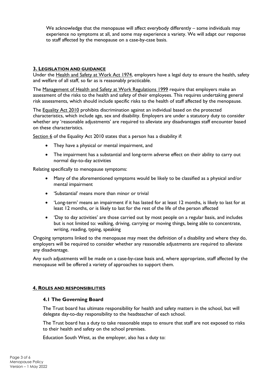We acknowledge that the menopause will affect everybody differently – some individuals may experience no symptoms at all, and some may experience a variety. We will adapt our response to staff affected by the menopause on a case-by-case basis.

## **3. LEGISLATION AND GUIDANCE**

Under the [Health and Safety at Work Act 1974,](https://www.legislation.gov.uk/ukpga/1974/37/section/2) employers have a legal duty to ensure the health, safety and welfare of all staff, so far as is reasonably practicable.

The [Management of Health and Safety at Work Regulations 1999](https://www.legislation.gov.uk/uksi/1999/3242/contents/made) require that employers make an assessment of the risks to the health and safety of their employees. This requires undertaking general risk assessments, which should include specific risks to the health of staff affected by the menopause.

The [Equality Act 2010](https://www.legislation.gov.uk/ukpga/2010/15/contents) prohibits discrimination against an individual based on the protected characteristics, which include age, sex and disability. Employers are under a statutory duty to consider whether any 'reasonable adjustments' are required to alleviate any disadvantages staff encounter based on these characteristics.

[Section 6](https://www.legislation.gov.uk/ukpga/2010/15/section/6) of the Equality Act 2010 states that a person has a disability if:

- They have a physical or mental impairment, and
- The impairment has a substantial and long-term adverse effect on their ability to carry out normal day-to-day activities

Relating specifically to menopause symptoms:

- Many of the aforementioned symptoms would be likely to be classified as a physical and/or mental impairment
- 'Substantial' means more than minor or trivial
- 'Long-term' means an impairment if it has lasted for at least 12 months, is likely to last for at least 12 months, or is likely to last for the rest of the life of the person affected
- 'Day to day activities' are those carried out by most people on a regular basis, and includes but is not limited to: walking, driving, carrying or moving things, being able to concentrate, writing, reading, typing, speaking

Ongoing symptoms linked to the menopause may meet the definition of a disability and where they do, employers will be required to consider whether any reasonable adjustments are required to alleviate any disadvantage.

Any such adjustments will be made on a case-by-case basis and, where appropriate, staff affected by the menopause will be offered a variety of approaches to support them.

## **4. ROLES AND RESPONSIBILITIES**

#### **4.1 The Governing Board**

The Trust board has ultimate responsibility for health and safety matters in the school, but will delegate day-to-day responsibility to the headteacher of each school.

The Trust board has a duty to take reasonable steps to ensure that staff are not exposed to risks to their health and safety on the school premises.

Education South West, as the employer, also has a duty to: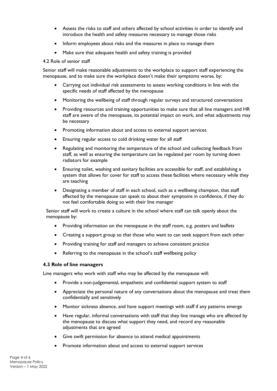- Assess the risks to staff and others affected by school activities in order to identify and introduce the health and safety measures necessary to manage those risks
- Inform employees about risks and the measures in place to manage them
- Make sure that adequate health and safety training is provided

#### 4.2 Role of senior staff

Senior staff will make reasonable adjustments to the workplace to support staff experiencing the menopause, and to make sure the workplace doesn't make their symptoms worse, by:

- Carrying out individual risk assessments to assess working conditions in line with the specific needs of staff affected by the menopause
- Monitoring the wellbeing of staff through regular surveys and structured conversations
- Providing resources and training opportunities to make sure that all line managers and HR staff are aware of the menopause, its potential impact on work, and what adjustments may be necessary
- Promoting information about and access to external support services
- Ensuring regular access to cold drinking water for all staff
- Regulating and monitoring the temperature of the school and collecting feedback from staff, as well as ensuring the temperature can be regulated per room by turning down radiators for example
- Ensuring toilet, washing and sanitary facilities are accessible for staff, and establishing a system that allows for cover for staff to access these facilities where necessary while they are teaching
- Designating a member of staff in each school, such as a wellbeing champion, that staff affected by the menopause can speak to about their symptoms in confidence, if they do not feel comfortable doing so with their line manager

Senior staff will work to create a culture in the school where staff can talk openly about the menopause by:

- Providing information on the menopause in the staff room, e.g. posters and leaflets
- Creating a support group so that those who want to can seek support from each other
- Providing training for staff and managers to achieve consistent practice
- Referring to the menopause in the school's staff wellbeing policy

#### **4.3 Role of line managers**

Line managers who work with staff who may be affected by the menopause will:

- Provide a non-judgemental, empathetic and confidential support system to staff
- Appreciate the personal nature of any conversations about the menopause and treat them confidentially and sensitively
- Monitor sickness absence, and have support meetings with staff if any patterns emerge
- Have regular, informal conversations with staff that they line manage who are affected by the menopause to discuss what support they need, and record any reasonable adjustments that are agreed
- Give swift permission for absence to attend medical appointments
- Promote information about and access to external support services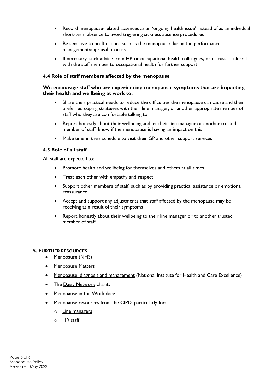- Record menopause-related absences as an 'ongoing health issue' instead of as an individual short-term absence to avoid triggering sickness absence procedures
- Be sensitive to health issues such as the menopause during the performance management/appraisal process
- If necessary, seek advice from HR or occupational health colleagues, or discuss a referral with the staff member to occupational health for further support

## **4.4 Role of staff members affected by the menopause**

## **We encourage staff who are experiencing menopausal symptoms that are impacting their health and wellbeing at work to:**

- Share their practical needs to reduce the difficulties the menopause can cause and their preferred coping strategies with their line manager, or another appropriate member of staff who they are comfortable talking to
- Report honestly about their wellbeing and let their line manager or another trusted member of staff, know if the menopause is having an impact on this
- Make time in their schedule to visit their GP and other support services

## **4.5 Role of all staff**

All staff are expected to:

- Promote health and wellbeing for themselves and others at all times
- Treat each other with empathy and respect
- Support other members of staff, such as by providing practical assistance or emotional reassurance
- Accept and support any adjustments that staff affected by the menopause may be receiving as a result of their symptoms
- Report honestly about their wellbeing to their line manager or to another trusted member of staff

#### **5. FURTHER RESOURCES**

- [Menopause](https://www.nhs.uk/conditions/menopause/) (NHS)
- [Menopause Matters](https://www.menopausematters.co.uk/)
- [Menopause: diagnosis and management](https://www.nice.org.uk/guidance/ng23/ifp/chapter/About-this-information) (National Institute for Health and Care Excellence)
- The [Daisy Network](https://www.daisynetwork.org/) charity
- [Menopause in the Workplace](https://menopauseintheworkplace.co.uk/articles/menopause-and-work-its-important/)
- [Menopause resources](https://www.cipd.co.uk/knowledge/culture/well-being/menopause#gref) from the CIPD, particularly for:
	- o [Line managers](https://www.cipd.co.uk/knowledge/culture/well-being/menopause/people-manager-guidance)
	- o [HR staff](https://www.cipd.co.uk/knowledge/culture/well-being/menopause/people-professionals-guidance)